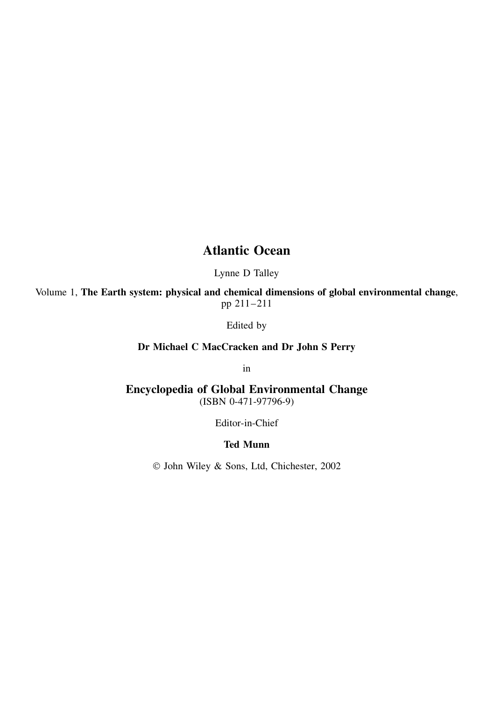## **Atlantic Ocean**

Lynne D Talley

Volume 1, **The Earth system: physical and chemical dimensions of global environmental change**, pp 211–211

Edited by

**Dr Michael C MacCracken and Dr John S Perry**

in

**Encyclopedia of Global Environmental Change** (ISBN 0-471-97796-9)

Editor-in-Chief

## **Ted Munn**

John Wiley & Sons, Ltd, Chichester, 2002